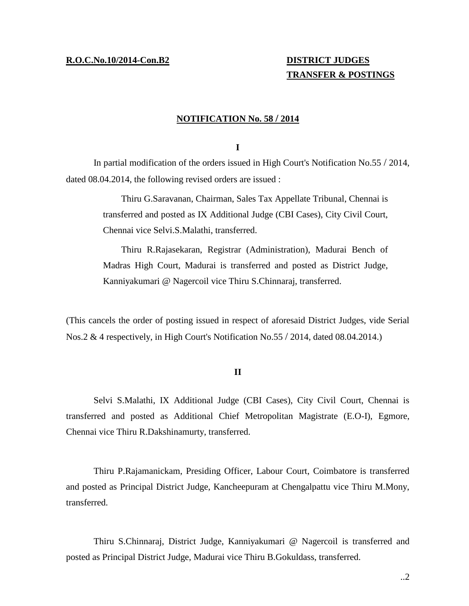# **TRANSFER & POSTINGS**

### **NOTIFICATION No. 58 / 2014**

**I**

In partial modification of the orders issued in High Court's Notification No.55 / 2014, dated 08.04.2014, the following revised orders are issued :

> Thiru G.Saravanan, Chairman, Sales Tax Appellate Tribunal, Chennai is transferred and posted as IX Additional Judge (CBI Cases), City Civil Court, Chennai vice Selvi.S.Malathi, transferred.

> Thiru R.Rajasekaran, Registrar (Administration), Madurai Bench of Madras High Court, Madurai is transferred and posted as District Judge, Kanniyakumari @ Nagercoil vice Thiru S.Chinnaraj, transferred.

(This cancels the order of posting issued in respect of aforesaid District Judges, vide Serial Nos.2 & 4 respectively, in High Court's Notification No.55 / 2014, dated 08.04.2014.)

#### **II**

Selvi S.Malathi, IX Additional Judge (CBI Cases), City Civil Court, Chennai is transferred and posted as Additional Chief Metropolitan Magistrate (E.O-I), Egmore, Chennai vice Thiru R.Dakshinamurty, transferred.

Thiru P.Rajamanickam, Presiding Officer, Labour Court, Coimbatore is transferred and posted as Principal District Judge, Kancheepuram at Chengalpattu vice Thiru M.Mony, transferred.

Thiru S.Chinnaraj, District Judge, Kanniyakumari @ Nagercoil is transferred and posted as Principal District Judge, Madurai vice Thiru B.Gokuldass, transferred.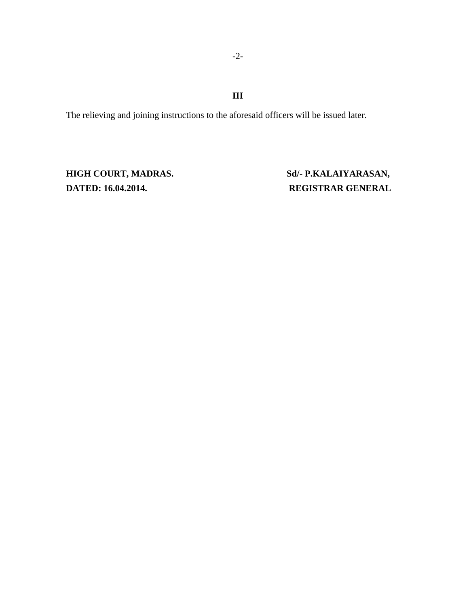## **III**

The relieving and joining instructions to the aforesaid officers will be issued later.

**DATED: 16.04.2014. REGISTRAR GENERAL**

**HIGH COURT, MADRAS. Sd/- P.KALAIYARASAN,**